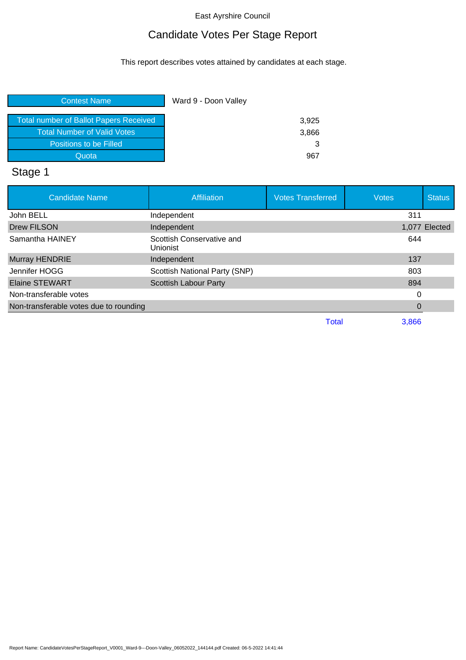# Candidate Votes Per Stage Report

This report describes votes attained by candidates at each stage.

| <b>Contest Name</b>                           | Ward 9 - Doon Valley |
|-----------------------------------------------|----------------------|
| <b>Total number of Ballot Papers Received</b> | 3,925                |
| Total Number of Valid Votes                   | 3,866                |
| Positions to be Filled                        | 3                    |
| Quota                                         | 967                  |

# Stage 1

| <b>Candidate Name</b>                  | <b>Affiliation</b>                    | <b>Votes Transferred</b> | <b>Votes</b> | <b>Status</b> |
|----------------------------------------|---------------------------------------|--------------------------|--------------|---------------|
| John BELL                              | Independent                           |                          | 311          |               |
| <b>Drew FILSON</b>                     | Independent                           |                          |              | 1,077 Elected |
| Samantha HAINEY                        | Scottish Conservative and<br>Unionist |                          | 644          |               |
| Murray HENDRIE                         | Independent                           |                          | 137          |               |
| Jennifer HOGG                          | Scottish National Party (SNP)         |                          | 803          |               |
| <b>Elaine STEWART</b>                  | <b>Scottish Labour Party</b>          |                          | 894          |               |
| Non-transferable votes                 |                                       |                          | 0            |               |
| Non-transferable votes due to rounding |                                       |                          | 0            |               |
|                                        |                                       | Total                    | 3.866        |               |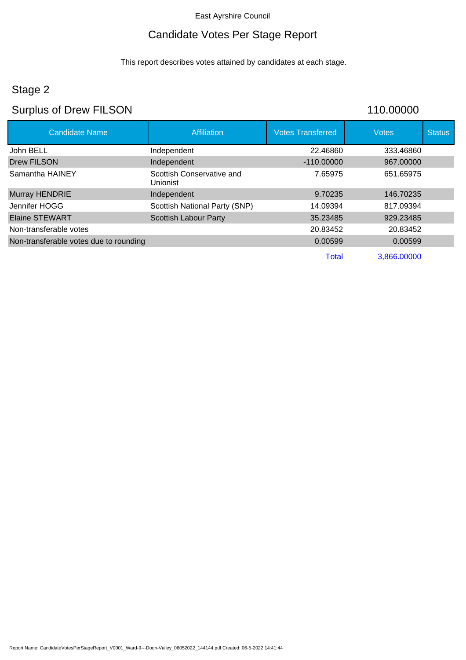## Candidate Votes Per Stage Report

This report describes votes attained by candidates at each stage.

# Stage 2

# Surplus of Drew FILSON 110.00000

| <b>Candidate Name</b>                  | <b>Affiliation</b>                           | <b>Votes Transferred</b> | <b>Votes</b> | <b>Status</b> |
|----------------------------------------|----------------------------------------------|--------------------------|--------------|---------------|
| John BELL                              | Independent                                  | 22.46860                 | 333.46860    |               |
| Drew FILSON                            | Independent                                  | $-110,00000$             | 967.00000    |               |
| Samantha HAINEY                        | Scottish Conservative and<br><b>Unionist</b> | 7.65975                  | 651.65975    |               |
| Murray HENDRIE                         | Independent                                  | 9.70235                  | 146.70235    |               |
| Jennifer HOGG                          | Scottish National Party (SNP)                | 14.09394                 | 817.09394    |               |
| Elaine STEWART                         | <b>Scottish Labour Party</b>                 | 35.23485                 | 929.23485    |               |
| Non-transferable votes                 |                                              | 20.83452                 | 20.83452     |               |
| Non-transferable votes due to rounding |                                              | 0.00599                  | 0.00599      |               |
|                                        |                                              | Total                    | 3,866.00000  |               |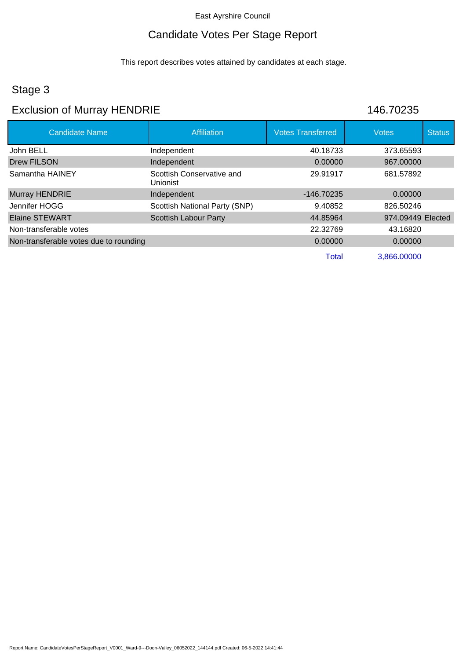### Candidate Votes Per Stage Report

This report describes votes attained by candidates at each stage.

### Stage 3

## Exclusion of Murray HENDRIE 146.70235

| <b>Candidate Name</b>                  | Affiliation                                  | <b>Votes Transferred</b> | <b>Votes</b>      | <b>Status</b> |
|----------------------------------------|----------------------------------------------|--------------------------|-------------------|---------------|
| John BELL                              | Independent                                  | 40.18733                 | 373.65593         |               |
| <b>Drew FILSON</b>                     | Independent                                  | 0.00000                  | 967,00000         |               |
| Samantha HAINEY                        | Scottish Conservative and<br><b>Unionist</b> | 29.91917                 | 681.57892         |               |
| Murray HENDRIE                         | Independent                                  | $-146.70235$             | 0.00000           |               |
| Jennifer HOGG                          | Scottish National Party (SNP)                | 9.40852                  | 826.50246         |               |
| <b>Elaine STEWART</b>                  | <b>Scottish Labour Party</b>                 | 44.85964                 | 974.09449 Elected |               |
| Non-transferable votes                 |                                              | 22.32769                 | 43.16820          |               |
| Non-transferable votes due to rounding |                                              | 0.00000                  | 0.00000           |               |
|                                        |                                              | <b>Total</b>             | 3,866.00000       |               |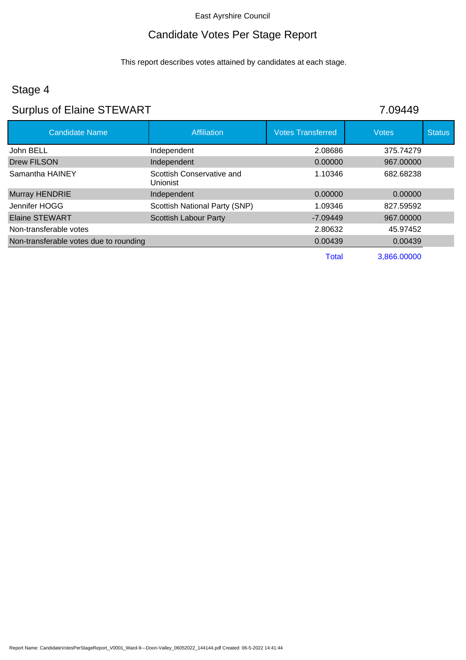## Candidate Votes Per Stage Report

This report describes votes attained by candidates at each stage.

# Stage 4

# Surplus of Elaine STEWART 7.09449

| <b>Candidate Name</b>                  | <b>Affiliation</b>                           | <b>Votes Transferred</b> | <b>Votes</b> | <b>Status</b> |
|----------------------------------------|----------------------------------------------|--------------------------|--------------|---------------|
| John BELL                              | Independent                                  | 2.08686                  | 375.74279    |               |
| <b>Drew FILSON</b>                     | Independent                                  | 0.00000                  | 967.00000    |               |
| Samantha HAINEY                        | Scottish Conservative and<br><b>Unionist</b> | 1.10346                  | 682.68238    |               |
| Murray HENDRIE                         | Independent                                  | 0.00000                  | 0.00000      |               |
| Jennifer HOGG                          | Scottish National Party (SNP)                | 1.09346                  | 827.59592    |               |
| <b>Elaine STEWART</b>                  | <b>Scottish Labour Party</b>                 | $-7.09449$               | 967,00000    |               |
| Non-transferable votes                 |                                              | 2.80632                  | 45.97452     |               |
| Non-transferable votes due to rounding |                                              | 0.00439                  | 0.00439      |               |
|                                        |                                              | <b>Total</b>             | 3,866.00000  |               |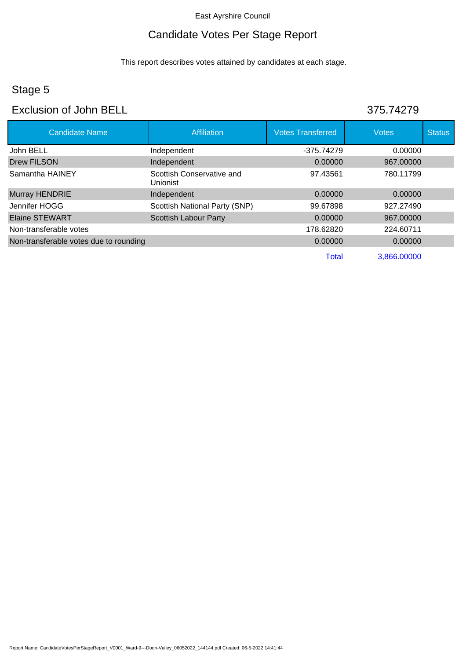## Candidate Votes Per Stage Report

This report describes votes attained by candidates at each stage.

# Stage 5

### Exclusion of John BELL 375.74279

| <b>Candidate Name</b>                  | <b>Affiliation</b>                    | <b>Votes Transferred</b> | <b>Votes</b> | <b>Status</b> |
|----------------------------------------|---------------------------------------|--------------------------|--------------|---------------|
| John BELL                              | Independent                           | -375.74279               | 0.00000      |               |
| <b>Drew FILSON</b>                     | Independent                           | 0.00000                  | 967.00000    |               |
| Samantha HAINEY                        | Scottish Conservative and<br>Unionist | 97.43561                 | 780.11799    |               |
| Murray HENDRIE                         | Independent                           | 0.00000                  | 0.00000      |               |
| Jennifer HOGG                          | Scottish National Party (SNP)         | 99.67898                 | 927.27490    |               |
| <b>Elaine STEWART</b>                  | <b>Scottish Labour Party</b>          | 0.00000                  | 967.00000    |               |
| Non-transferable votes                 |                                       | 178.62820                | 224.60711    |               |
| Non-transferable votes due to rounding |                                       | 0.00000                  | 0.00000      |               |
|                                        |                                       | <b>Total</b>             | 3,866.00000  |               |